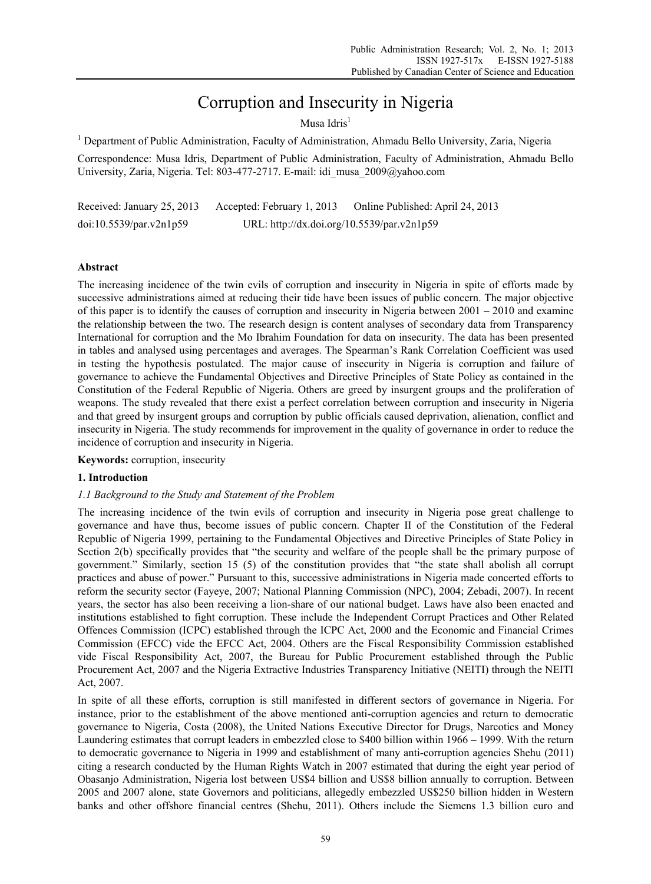# Corruption and Insecurity in Nigeria

Musa Idris $<sup>1</sup>$ </sup>

<sup>1</sup> Department of Public Administration, Faculty of Administration, Ahmadu Bello University, Zaria, Nigeria

Correspondence: Musa Idris, Department of Public Administration, Faculty of Administration, Ahmadu Bello University, Zaria, Nigeria. Tel: 803-477-2717. E-mail: idi\_musa\_2009@yahoo.com

| Received: January 25, 2013 | Accepted: February 1, 2013                 | Online Published: April 24, 2013 |
|----------------------------|--------------------------------------------|----------------------------------|
| doi:10.5539/par.v2n1p59    | URL: http://dx.doi.org/10.5539/par.v2n1p59 |                                  |

### **Abstract**

The increasing incidence of the twin evils of corruption and insecurity in Nigeria in spite of efforts made by successive administrations aimed at reducing their tide have been issues of public concern. The major objective of this paper is to identify the causes of corruption and insecurity in Nigeria between  $2001 - 2010$  and examine the relationship between the two. The research design is content analyses of secondary data from Transparency International for corruption and the Mo Ibrahim Foundation for data on insecurity. The data has been presented in tables and analysed using percentages and averages. The Spearman's Rank Correlation Coefficient was used in testing the hypothesis postulated. The major cause of insecurity in Nigeria is corruption and failure of governance to achieve the Fundamental Objectives and Directive Principles of State Policy as contained in the Constitution of the Federal Republic of Nigeria. Others are greed by insurgent groups and the proliferation of weapons. The study revealed that there exist a perfect correlation between corruption and insecurity in Nigeria and that greed by insurgent groups and corruption by public officials caused deprivation, alienation, conflict and insecurity in Nigeria. The study recommends for improvement in the quality of governance in order to reduce the incidence of corruption and insecurity in Nigeria.

**Keywords:** corruption, insecurity

#### **1. Introduction**

#### *1.1 Background to the Study and Statement of the Problem*

The increasing incidence of the twin evils of corruption and insecurity in Nigeria pose great challenge to governance and have thus, become issues of public concern. Chapter II of the Constitution of the Federal Republic of Nigeria 1999, pertaining to the Fundamental Objectives and Directive Principles of State Policy in Section 2(b) specifically provides that "the security and welfare of the people shall be the primary purpose of government." Similarly, section 15 (5) of the constitution provides that "the state shall abolish all corrupt practices and abuse of power." Pursuant to this, successive administrations in Nigeria made concerted efforts to reform the security sector (Fayeye, 2007; National Planning Commission (NPC), 2004; Zebadi, 2007). In recent years, the sector has also been receiving a lion-share of our national budget. Laws have also been enacted and institutions established to fight corruption. These include the Independent Corrupt Practices and Other Related Offences Commission (ICPC) established through the ICPC Act, 2000 and the Economic and Financial Crimes Commission (EFCC) vide the EFCC Act, 2004. Others are the Fiscal Responsibility Commission established vide Fiscal Responsibility Act, 2007, the Bureau for Public Procurement established through the Public Procurement Act, 2007 and the Nigeria Extractive Industries Transparency Initiative (NEITI) through the NEITI Act, 2007.

In spite of all these efforts, corruption is still manifested in different sectors of governance in Nigeria. For instance, prior to the establishment of the above mentioned anti-corruption agencies and return to democratic governance to Nigeria, Costa (2008), the United Nations Executive Director for Drugs, Narcotics and Money Laundering estimates that corrupt leaders in embezzled close to \$400 billion within 1966 – 1999. With the return to democratic governance to Nigeria in 1999 and establishment of many anti-corruption agencies Shehu (2011) citing a research conducted by the Human Rights Watch in 2007 estimated that during the eight year period of Obasanjo Administration, Nigeria lost between US\$4 billion and US\$8 billion annually to corruption. Between 2005 and 2007 alone, state Governors and politicians, allegedly embezzled US\$250 billion hidden in Western banks and other offshore financial centres (Shehu, 2011). Others include the Siemens 1.3 billion euro and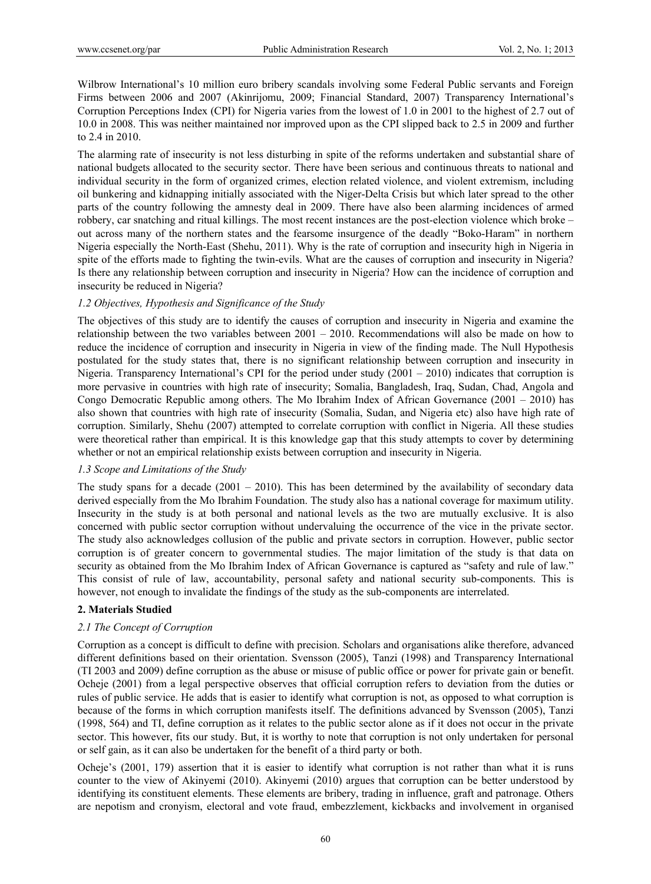Wilbrow International's 10 million euro bribery scandals involving some Federal Public servants and Foreign Firms between 2006 and 2007 (Akinrijomu, 2009; Financial Standard, 2007) Transparency International's Corruption Perceptions Index (CPI) for Nigeria varies from the lowest of 1.0 in 2001 to the highest of 2.7 out of 10.0 in 2008. This was neither maintained nor improved upon as the CPI slipped back to 2.5 in 2009 and further to 2.4 in 2010.

The alarming rate of insecurity is not less disturbing in spite of the reforms undertaken and substantial share of national budgets allocated to the security sector. There have been serious and continuous threats to national and individual security in the form of organized crimes, election related violence, and violent extremism, including oil bunkering and kidnapping initially associated with the Niger-Delta Crisis but which later spread to the other parts of the country following the amnesty deal in 2009. There have also been alarming incidences of armed robbery, car snatching and ritual killings. The most recent instances are the post-election violence which broke – out across many of the northern states and the fearsome insurgence of the deadly "Boko-Haram" in northern Nigeria especially the North-East (Shehu, 2011). Why is the rate of corruption and insecurity high in Nigeria in spite of the efforts made to fighting the twin-evils. What are the causes of corruption and insecurity in Nigeria? Is there any relationship between corruption and insecurity in Nigeria? How can the incidence of corruption and insecurity be reduced in Nigeria?

#### *1.2 Objectives, Hypothesis and Significance of the Study*

The objectives of this study are to identify the causes of corruption and insecurity in Nigeria and examine the relationship between the two variables between 2001 – 2010. Recommendations will also be made on how to reduce the incidence of corruption and insecurity in Nigeria in view of the finding made. The Null Hypothesis postulated for the study states that, there is no significant relationship between corruption and insecurity in Nigeria. Transparency International's CPI for the period under study  $(2001 - 2010)$  indicates that corruption is more pervasive in countries with high rate of insecurity; Somalia, Bangladesh, Iraq, Sudan, Chad, Angola and Congo Democratic Republic among others. The Mo Ibrahim Index of African Governance (2001 – 2010) has also shown that countries with high rate of insecurity (Somalia, Sudan, and Nigeria etc) also have high rate of corruption. Similarly, Shehu (2007) attempted to correlate corruption with conflict in Nigeria. All these studies were theoretical rather than empirical. It is this knowledge gap that this study attempts to cover by determining whether or not an empirical relationship exists between corruption and insecurity in Nigeria.

#### *1.3 Scope and Limitations of the Study*

The study spans for a decade  $(2001 - 2010)$ . This has been determined by the availability of secondary data derived especially from the Mo Ibrahim Foundation. The study also has a national coverage for maximum utility. Insecurity in the study is at both personal and national levels as the two are mutually exclusive. It is also concerned with public sector corruption without undervaluing the occurrence of the vice in the private sector. The study also acknowledges collusion of the public and private sectors in corruption. However, public sector corruption is of greater concern to governmental studies. The major limitation of the study is that data on security as obtained from the Mo Ibrahim Index of African Governance is captured as "safety and rule of law." This consist of rule of law, accountability, personal safety and national security sub-components. This is however, not enough to invalidate the findings of the study as the sub-components are interrelated.

## **2. Materials Studied**

## *2.1 The Concept of Corruption*

Corruption as a concept is difficult to define with precision. Scholars and organisations alike therefore, advanced different definitions based on their orientation. Svensson (2005), Tanzi (1998) and Transparency International (TI 2003 and 2009) define corruption as the abuse or misuse of public office or power for private gain or benefit. Ocheje (2001) from a legal perspective observes that official corruption refers to deviation from the duties or rules of public service. He adds that is easier to identify what corruption is not, as opposed to what corruption is because of the forms in which corruption manifests itself. The definitions advanced by Svensson (2005), Tanzi (1998, 564) and TI, define corruption as it relates to the public sector alone as if it does not occur in the private sector. This however, fits our study. But, it is worthy to note that corruption is not only undertaken for personal or self gain, as it can also be undertaken for the benefit of a third party or both.

Ocheje's (2001, 179) assertion that it is easier to identify what corruption is not rather than what it is runs counter to the view of Akinyemi (2010). Akinyemi (2010) argues that corruption can be better understood by identifying its constituent elements. These elements are bribery, trading in influence, graft and patronage. Others are nepotism and cronyism, electoral and vote fraud, embezzlement, kickbacks and involvement in organised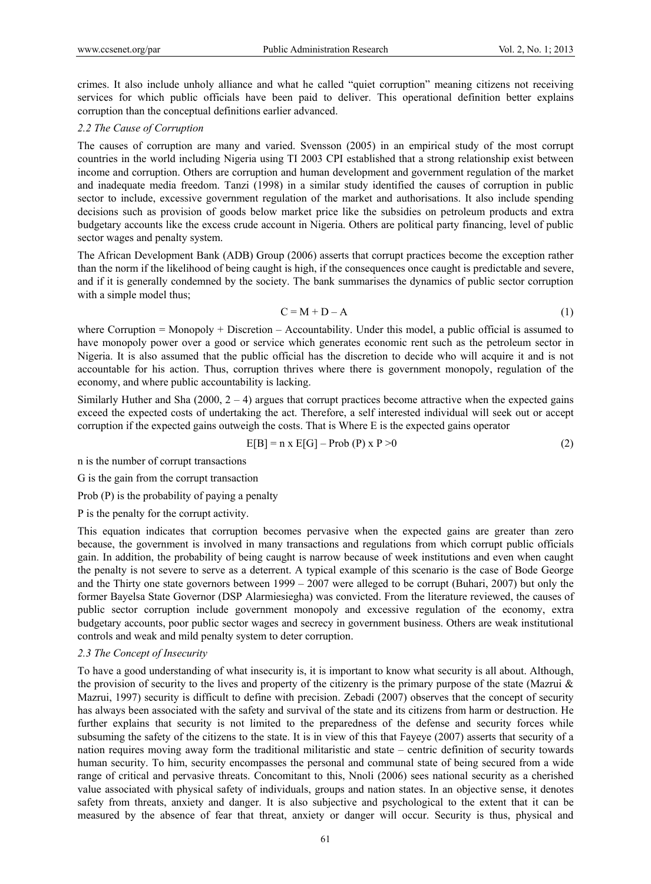crimes. It also include unholy alliance and what he called "quiet corruption" meaning citizens not receiving services for which public officials have been paid to deliver. This operational definition better explains corruption than the conceptual definitions earlier advanced.

#### *2.2 The Cause of Corruption*

The causes of corruption are many and varied. Svensson (2005) in an empirical study of the most corrupt countries in the world including Nigeria using TI 2003 CPI established that a strong relationship exist between income and corruption. Others are corruption and human development and government regulation of the market and inadequate media freedom. Tanzi (1998) in a similar study identified the causes of corruption in public sector to include, excessive government regulation of the market and authorisations. It also include spending decisions such as provision of goods below market price like the subsidies on petroleum products and extra budgetary accounts like the excess crude account in Nigeria. Others are political party financing, level of public sector wages and penalty system.

The African Development Bank (ADB) Group (2006) asserts that corrupt practices become the exception rather than the norm if the likelihood of being caught is high, if the consequences once caught is predictable and severe, and if it is generally condemned by the society. The bank summarises the dynamics of public sector corruption with a simple model thus;

$$
C = M + D - A \tag{1}
$$

where Corruption = Monopoly + Discretion – Accountability. Under this model, a public official is assumed to have monopoly power over a good or service which generates economic rent such as the petroleum sector in Nigeria. It is also assumed that the public official has the discretion to decide who will acquire it and is not accountable for his action. Thus, corruption thrives where there is government monopoly, regulation of the economy, and where public accountability is lacking.

Similarly Huther and Sha (2000,  $2 - 4$ ) argues that corrupt practices become attractive when the expected gains exceed the expected costs of undertaking the act. Therefore, a self interested individual will seek out or accept corruption if the expected gains outweigh the costs. That is Where E is the expected gains operator

$$
E[B] = n \times E[G] - Prob(P) \times P > 0 \tag{2}
$$

n is the number of corrupt transactions

G is the gain from the corrupt transaction

Prob (P) is the probability of paying a penalty

P is the penalty for the corrupt activity.

This equation indicates that corruption becomes pervasive when the expected gains are greater than zero because, the government is involved in many transactions and regulations from which corrupt public officials gain. In addition, the probability of being caught is narrow because of week institutions and even when caught the penalty is not severe to serve as a deterrent. A typical example of this scenario is the case of Bode George and the Thirty one state governors between 1999 – 2007 were alleged to be corrupt (Buhari, 2007) but only the former Bayelsa State Governor (DSP Alarmiesiegha) was convicted. From the literature reviewed, the causes of public sector corruption include government monopoly and excessive regulation of the economy, extra budgetary accounts, poor public sector wages and secrecy in government business. Others are weak institutional controls and weak and mild penalty system to deter corruption.

## *2.3 The Concept of Insecurity*

To have a good understanding of what insecurity is, it is important to know what security is all about. Although, the provision of security to the lives and property of the citizenry is the primary purpose of the state (Mazrui  $\&$ Mazrui, 1997) security is difficult to define with precision. Zebadi (2007) observes that the concept of security has always been associated with the safety and survival of the state and its citizens from harm or destruction. He further explains that security is not limited to the preparedness of the defense and security forces while subsuming the safety of the citizens to the state. It is in view of this that Fayeye (2007) asserts that security of a nation requires moving away form the traditional militaristic and state – centric definition of security towards human security. To him, security encompasses the personal and communal state of being secured from a wide range of critical and pervasive threats. Concomitant to this, Nnoli (2006) sees national security as a cherished value associated with physical safety of individuals, groups and nation states. In an objective sense, it denotes safety from threats, anxiety and danger. It is also subjective and psychological to the extent that it can be measured by the absence of fear that threat, anxiety or danger will occur. Security is thus, physical and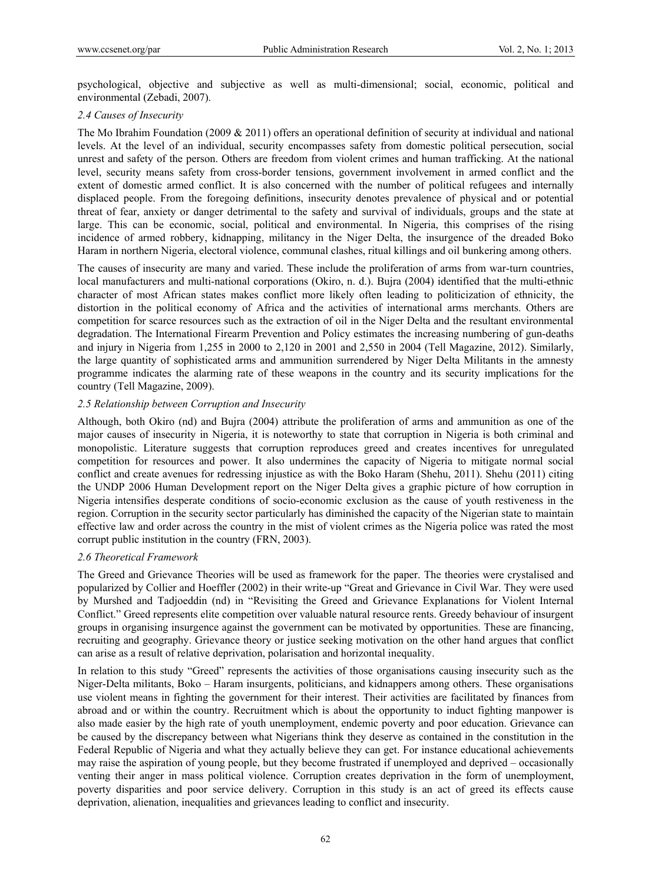psychological, objective and subjective as well as multi-dimensional; social, economic, political and environmental (Zebadi, 2007).

#### *2.4 Causes of Insecurity*

The Mo Ibrahim Foundation (2009 & 2011) offers an operational definition of security at individual and national levels. At the level of an individual, security encompasses safety from domestic political persecution, social unrest and safety of the person. Others are freedom from violent crimes and human trafficking. At the national level, security means safety from cross-border tensions, government involvement in armed conflict and the extent of domestic armed conflict. It is also concerned with the number of political refugees and internally displaced people. From the foregoing definitions, insecurity denotes prevalence of physical and or potential threat of fear, anxiety or danger detrimental to the safety and survival of individuals, groups and the state at large. This can be economic, social, political and environmental. In Nigeria, this comprises of the rising incidence of armed robbery, kidnapping, militancy in the Niger Delta, the insurgence of the dreaded Boko Haram in northern Nigeria, electoral violence, communal clashes, ritual killings and oil bunkering among others.

The causes of insecurity are many and varied. These include the proliferation of arms from war-turn countries, local manufacturers and multi-national corporations (Okiro, n. d.). Bujra (2004) identified that the multi-ethnic character of most African states makes conflict more likely often leading to politicization of ethnicity, the distortion in the political economy of Africa and the activities of international arms merchants. Others are competition for scarce resources such as the extraction of oil in the Niger Delta and the resultant environmental degradation. The International Firearm Prevention and Policy estimates the increasing numbering of gun-deaths and injury in Nigeria from 1,255 in 2000 to 2,120 in 2001 and 2,550 in 2004 (Tell Magazine, 2012). Similarly, the large quantity of sophisticated arms and ammunition surrendered by Niger Delta Militants in the amnesty programme indicates the alarming rate of these weapons in the country and its security implications for the country (Tell Magazine, 2009).

## *2.5 Relationship between Corruption and Insecurity*

Although, both Okiro (nd) and Bujra (2004) attribute the proliferation of arms and ammunition as one of the major causes of insecurity in Nigeria, it is noteworthy to state that corruption in Nigeria is both criminal and monopolistic. Literature suggests that corruption reproduces greed and creates incentives for unregulated competition for resources and power. It also undermines the capacity of Nigeria to mitigate normal social conflict and create avenues for redressing injustice as with the Boko Haram (Shehu, 2011). Shehu (2011) citing the UNDP 2006 Human Development report on the Niger Delta gives a graphic picture of how corruption in Nigeria intensifies desperate conditions of socio-economic exclusion as the cause of youth restiveness in the region. Corruption in the security sector particularly has diminished the capacity of the Nigerian state to maintain effective law and order across the country in the mist of violent crimes as the Nigeria police was rated the most corrupt public institution in the country (FRN, 2003).

#### *2.6 Theoretical Framework*

The Greed and Grievance Theories will be used as framework for the paper. The theories were crystalised and popularized by Collier and Hoeffler (2002) in their write-up "Great and Grievance in Civil War. They were used by Murshed and Tadjoeddin (nd) in "Revisiting the Greed and Grievance Explanations for Violent Internal Conflict." Greed represents elite competition over valuable natural resource rents. Greedy behaviour of insurgent groups in organising insurgence against the government can be motivated by opportunities. These are financing, recruiting and geography. Grievance theory or justice seeking motivation on the other hand argues that conflict can arise as a result of relative deprivation, polarisation and horizontal inequality.

In relation to this study "Greed" represents the activities of those organisations causing insecurity such as the Niger-Delta militants, Boko – Haram insurgents, politicians, and kidnappers among others. These organisations use violent means in fighting the government for their interest. Their activities are facilitated by finances from abroad and or within the country. Recruitment which is about the opportunity to induct fighting manpower is also made easier by the high rate of youth unemployment, endemic poverty and poor education. Grievance can be caused by the discrepancy between what Nigerians think they deserve as contained in the constitution in the Federal Republic of Nigeria and what they actually believe they can get. For instance educational achievements may raise the aspiration of young people, but they become frustrated if unemployed and deprived – occasionally venting their anger in mass political violence. Corruption creates deprivation in the form of unemployment, poverty disparities and poor service delivery. Corruption in this study is an act of greed its effects cause deprivation, alienation, inequalities and grievances leading to conflict and insecurity.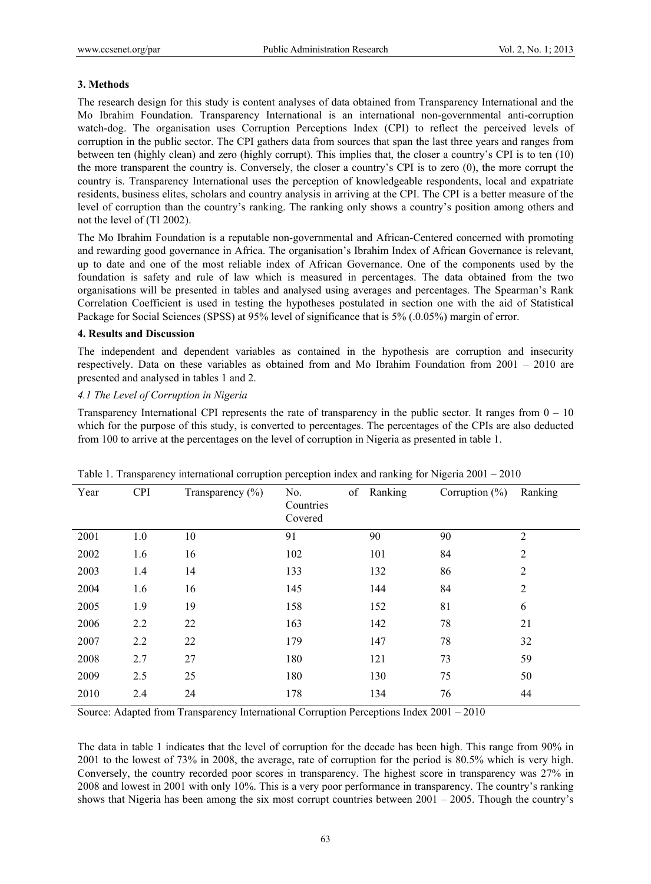### **3. Methods**

The research design for this study is content analyses of data obtained from Transparency International and the Mo Ibrahim Foundation. Transparency International is an international non-governmental anti-corruption watch-dog. The organisation uses Corruption Perceptions Index (CPI) to reflect the perceived levels of corruption in the public sector. The CPI gathers data from sources that span the last three years and ranges from between ten (highly clean) and zero (highly corrupt). This implies that, the closer a country's CPI is to ten (10) the more transparent the country is. Conversely, the closer a country's CPI is to zero (0), the more corrupt the country is. Transparency International uses the perception of knowledgeable respondents, local and expatriate residents, business elites, scholars and country analysis in arriving at the CPI. The CPI is a better measure of the level of corruption than the country's ranking. The ranking only shows a country's position among others and not the level of (TI 2002).

The Mo Ibrahim Foundation is a reputable non-governmental and African-Centered concerned with promoting and rewarding good governance in Africa. The organisation's Ibrahim Index of African Governance is relevant, up to date and one of the most reliable index of African Governance. One of the components used by the foundation is safety and rule of law which is measured in percentages. The data obtained from the two organisations will be presented in tables and analysed using averages and percentages. The Spearman's Rank Correlation Coefficient is used in testing the hypotheses postulated in section one with the aid of Statistical Package for Social Sciences (SPSS) at 95% level of significance that is 5% (.0.05%) margin of error.

#### **4. Results and Discussion**

The independent and dependent variables as contained in the hypothesis are corruption and insecurity respectively. Data on these variables as obtained from and Mo Ibrahim Foundation from 2001 – 2010 are presented and analysed in tables 1 and 2.

### *4.1 The Level of Corruption in Nigeria*

Transparency International CPI represents the rate of transparency in the public sector. It ranges from  $0 - 10$ which for the purpose of this study, is converted to percentages. The percentages of the CPIs are also deducted from 100 to arrive at the percentages on the level of corruption in Nigeria as presented in table 1.

| Year | <b>CPI</b> | Transparency $(\% )$ | of<br>No.<br>Countries<br>Covered | Ranking | Corruption $(\% )$ | Ranking        |
|------|------------|----------------------|-----------------------------------|---------|--------------------|----------------|
| 2001 | 1.0        | 10                   | 91                                | 90      | 90                 | $\overline{2}$ |
| 2002 | 1.6        | 16                   | 102                               | 101     | 84                 | $\overline{2}$ |
| 2003 | 1.4        | 14                   | 133                               | 132     | 86                 | 2              |
| 2004 | 1.6        | 16                   | 145                               | 144     | 84                 | $\overline{2}$ |
| 2005 | 1.9        | 19                   | 158                               | 152     | 81                 | 6              |
| 2006 | 2.2        | 22                   | 163                               | 142     | 78                 | 21             |
| 2007 | 2.2        | 22                   | 179                               | 147     | 78                 | 32             |
| 2008 | 2.7        | 27                   | 180                               | 121     | 73                 | 59             |
| 2009 | 2.5        | 25                   | 180                               | 130     | 75                 | 50             |
| 2010 | 2.4        | 24                   | 178                               | 134     | 76                 | 44             |

|  |  |  |  | Table 1. Transparency international corruption perception index and ranking for Nigeria $2001 - 2010$ |
|--|--|--|--|-------------------------------------------------------------------------------------------------------|
|  |  |  |  |                                                                                                       |

Source: Adapted from Transparency International Corruption Perceptions Index 2001 – 2010

The data in table 1 indicates that the level of corruption for the decade has been high. This range from 90% in 2001 to the lowest of 73% in 2008, the average, rate of corruption for the period is 80.5% which is very high. Conversely, the country recorded poor scores in transparency. The highest score in transparency was 27% in 2008 and lowest in 2001 with only 10%. This is a very poor performance in transparency. The country's ranking shows that Nigeria has been among the six most corrupt countries between 2001 – 2005. Though the country's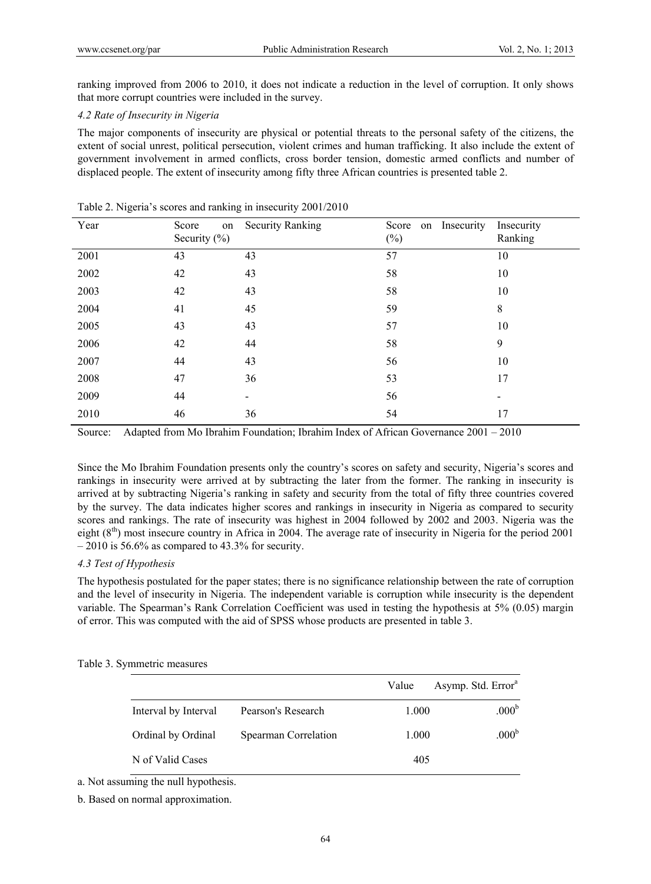ranking improved from 2006 to 2010, it does not indicate a reduction in the level of corruption. It only shows that more corrupt countries were included in the survey.

#### *4.2 Rate of Insecurity in Nigeria*

The major components of insecurity are physical or potential threats to the personal safety of the citizens, the extent of social unrest, political persecution, violent crimes and human trafficking. It also include the extent of government involvement in armed conflicts, cross border tension, domestic armed conflicts and number of displaced people. The extent of insecurity among fifty three African countries is presented table 2.

| Year | Score<br>on<br>Security $(\% )$ | <b>Security Ranking</b> | Score on Insecurity<br>$(\%)$ | Insecurity<br>Ranking |
|------|---------------------------------|-------------------------|-------------------------------|-----------------------|
| 2001 | 43                              | 43                      | 57                            | 10                    |
| 2002 | 42                              | 43                      | 58                            | 10                    |
| 2003 | 42                              | 43                      | 58                            | 10                    |
| 2004 | 41                              | 45                      | 59                            | $\,8\,$               |
| 2005 | 43                              | 43                      | 57                            | 10                    |
| 2006 | 42                              | 44                      | 58                            | 9                     |
| 2007 | 44                              | 43                      | 56                            | 10                    |
| 2008 | 47                              | 36                      | 53                            | 17                    |
| 2009 | 44                              |                         | 56                            |                       |
| 2010 | 46                              | 36                      | 54                            | 17                    |
|      |                                 |                         |                               |                       |

#### Table 2. Nigeria's scores and ranking in insecurity 2001/2010

Source: Adapted from Mo Ibrahim Foundation; Ibrahim Index of African Governance 2001 – 2010

Since the Mo Ibrahim Foundation presents only the country's scores on safety and security, Nigeria's scores and rankings in insecurity were arrived at by subtracting the later from the former. The ranking in insecurity is arrived at by subtracting Nigeria's ranking in safety and security from the total of fifty three countries covered by the survey. The data indicates higher scores and rankings in insecurity in Nigeria as compared to security scores and rankings. The rate of insecurity was highest in 2004 followed by 2002 and 2003. Nigeria was the eight  $(8<sup>th</sup>)$  most insecure country in Africa in 2004. The average rate of insecurity in Nigeria for the period 2001  $-2010$  is 56.6% as compared to 43.3% for security.

## *4.3 Test of Hypothesis*

The hypothesis postulated for the paper states; there is no significance relationship between the rate of corruption and the level of insecurity in Nigeria. The independent variable is corruption while insecurity is the dependent variable. The Spearman's Rank Correlation Coefficient was used in testing the hypothesis at 5% (0.05) margin of error. This was computed with the aid of SPSS whose products are presented in table 3.

#### Table 3. Symmetric measures

|                      |                      | Value | Asymp. Std. Error <sup>a</sup> |
|----------------------|----------------------|-------|--------------------------------|
| Interval by Interval | Pearson's Research   | 1.000 | .000 <sup>b</sup>              |
| Ordinal by Ordinal   | Spearman Correlation | 1.000 | .000 <sup>b</sup>              |
| N of Valid Cases     |                      | 405   |                                |

a. Not assuming the null hypothesis.

b. Based on normal approximation.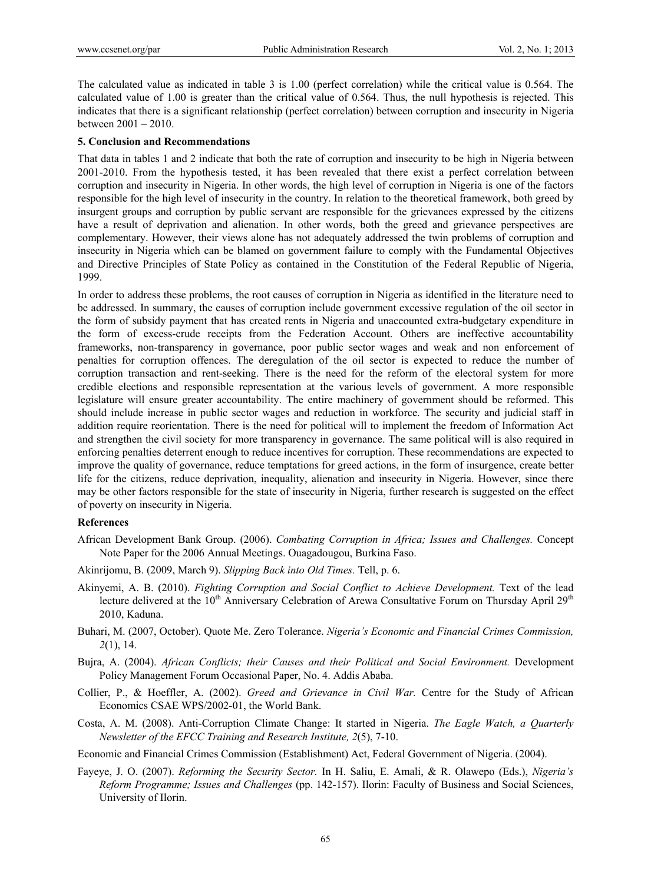The calculated value as indicated in table 3 is 1.00 (perfect correlation) while the critical value is 0.564. The calculated value of 1.00 is greater than the critical value of 0.564. Thus, the null hypothesis is rejected. This indicates that there is a significant relationship (perfect correlation) between corruption and insecurity in Nigeria between 2001 – 2010.

#### **5. Conclusion and Recommendations**

That data in tables 1 and 2 indicate that both the rate of corruption and insecurity to be high in Nigeria between 2001-2010. From the hypothesis tested, it has been revealed that there exist a perfect correlation between corruption and insecurity in Nigeria. In other words, the high level of corruption in Nigeria is one of the factors responsible for the high level of insecurity in the country. In relation to the theoretical framework, both greed by insurgent groups and corruption by public servant are responsible for the grievances expressed by the citizens have a result of deprivation and alienation. In other words, both the greed and grievance perspectives are complementary. However, their views alone has not adequately addressed the twin problems of corruption and insecurity in Nigeria which can be blamed on government failure to comply with the Fundamental Objectives and Directive Principles of State Policy as contained in the Constitution of the Federal Republic of Nigeria, 1999.

In order to address these problems, the root causes of corruption in Nigeria as identified in the literature need to be addressed. In summary, the causes of corruption include government excessive regulation of the oil sector in the form of subsidy payment that has created rents in Nigeria and unaccounted extra-budgetary expenditure in the form of excess-crude receipts from the Federation Account. Others are ineffective accountability frameworks, non-transparency in governance, poor public sector wages and weak and non enforcement of penalties for corruption offences. The deregulation of the oil sector is expected to reduce the number of corruption transaction and rent-seeking. There is the need for the reform of the electoral system for more credible elections and responsible representation at the various levels of government. A more responsible legislature will ensure greater accountability. The entire machinery of government should be reformed. This should include increase in public sector wages and reduction in workforce. The security and judicial staff in addition require reorientation. There is the need for political will to implement the freedom of Information Act and strengthen the civil society for more transparency in governance. The same political will is also required in enforcing penalties deterrent enough to reduce incentives for corruption. These recommendations are expected to improve the quality of governance, reduce temptations for greed actions, in the form of insurgence, create better life for the citizens, reduce deprivation, inequality, alienation and insecurity in Nigeria. However, since there may be other factors responsible for the state of insecurity in Nigeria, further research is suggested on the effect of poverty on insecurity in Nigeria.

#### **References**

- African Development Bank Group. (2006). *Combating Corruption in Africa; Issues and Challenges.* Concept Note Paper for the 2006 Annual Meetings. Ouagadougou, Burkina Faso.
- Akinrijomu, B. (2009, March 9). *Slipping Back into Old Times.* Tell, p. 6.
- Akinyemi, A. B. (2010). *Fighting Corruption and Social Conflict to Achieve Development*. Text of the lead lecture delivered at the 10<sup>th</sup> Anniversary Celebration of Arewa Consultative Forum on Thursday April 29<sup>th</sup> 2010, Kaduna.
- Buhari, M. (2007, October). Quote Me. Zero Tolerance. *Nigeria's Economic and Financial Crimes Commission, 2*(1), 14.
- Bujra, A. (2004). *African Conflicts; their Causes and their Political and Social Environment.* Development Policy Management Forum Occasional Paper, No. 4. Addis Ababa.
- Collier, P., & Hoeffler, A. (2002). *Greed and Grievance in Civil War.* Centre for the Study of African Economics CSAE WPS/2002-01, the World Bank.
- Costa, A. M. (2008). Anti-Corruption Climate Change: It started in Nigeria. *The Eagle Watch, a Quarterly Newsletter of the EFCC Training and Research Institute, 2*(5), 7-10.
- Economic and Financial Crimes Commission (Establishment) Act, Federal Government of Nigeria. (2004).
- Fayeye, J. O. (2007). *Reforming the Security Sector.* In H. Saliu, E. Amali, & R. Olawepo (Eds.), *Nigeria's Reform Programme; Issues and Challenges* (pp. 142-157). Ilorin: Faculty of Business and Social Sciences, University of Ilorin.